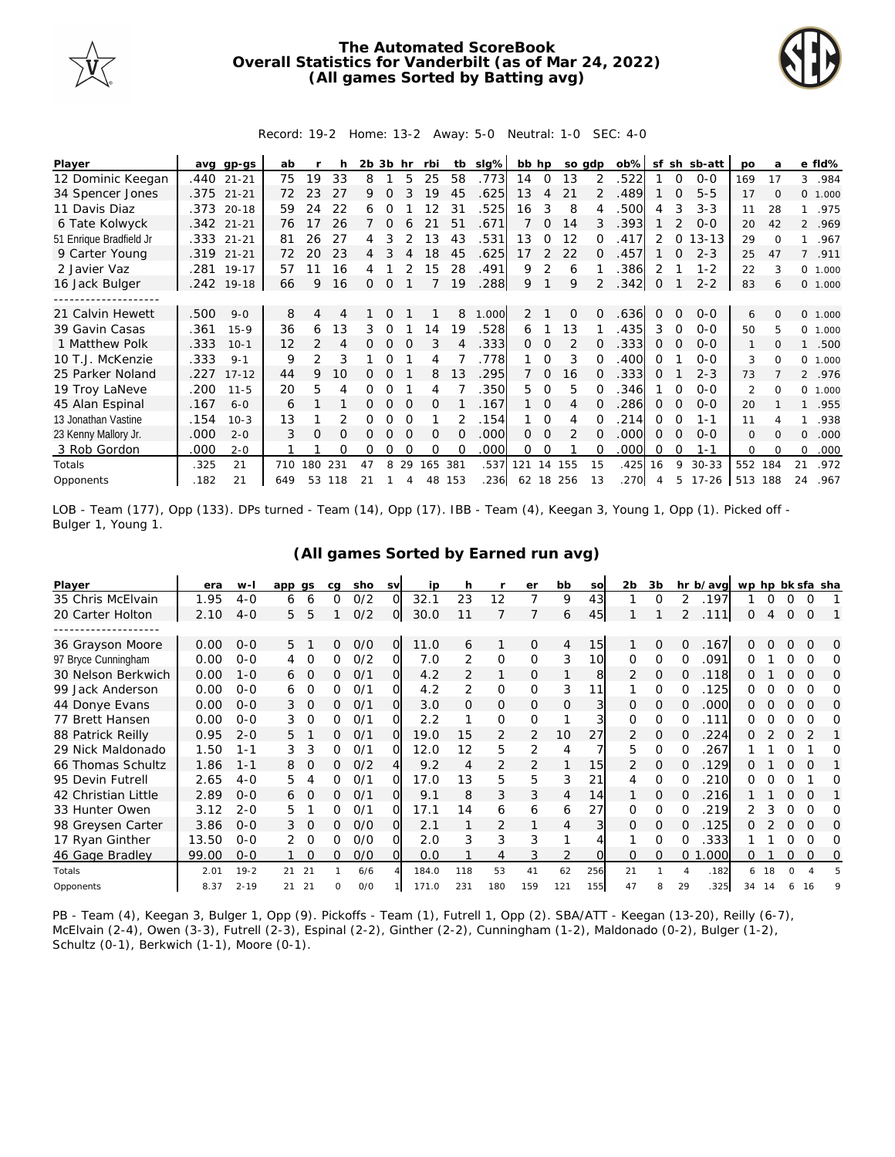

## **The Automated ScoreBook Overall Statistics for Vanderbilt (as of Mar 24, 2022) (All games Sorted by Batting avg)**



## Record: 19-2 Home: 13-2 Away: 5-0 Neutral: 1-0 SEC: 4-0

| Player                  | avq  | gp-gs        | ab  |               |     | 2b | 3b       | hr       | rbi      | tb       | slg%  | bb hp |                | so gdp         |          | $ob\%$ | sf       | sh       | sb-att    | po             | a        |                | e fld%  |
|-------------------------|------|--------------|-----|---------------|-----|----|----------|----------|----------|----------|-------|-------|----------------|----------------|----------|--------|----------|----------|-----------|----------------|----------|----------------|---------|
| 12 Dominic Keegan       | .440 | $21 - 21$    | 75  | 19            | 33  | 8  |          | 5        | 25       | 58       | .773  | 14    | $\overline{0}$ | 13             |          | .522   |          | $\Omega$ | $0 - 0$   | 169            | 17       | 3              | .984    |
| 34 Spencer Jones        |      | .375 21-21   | 72  | 23            | 27  | 9  |          |          | 19       | 45       | .625  | 13    | 4              | 21             |          | .489   |          | $\Omega$ | $5 - 5$   | 17             | $\Omega$ |                | 0 1.000 |
| 11 Davis Diaz           | .373 | $20 - 18$    | 59  | 24            | 22  | 6  |          |          | 2        | 31       | .525  | 16    | 3              | 8              |          | 500    | 4        |          | $3 - 3$   | 11             | 28       |                | .975    |
| 6 Tate Kolwyck          |      | $.342$ 21-21 | 76  | 17            | 26  |    | $\Omega$ | 6        | 21       | 51       | .671  |       | 0              | 14             | 3        | .393   |          |          | $O-O$     | 20             | 42       | $\overline{2}$ | .969    |
| 51 Enrique Bradfield Jr |      | .333 21-21   | 81  | 26            | 27  |    |          |          | 13       | 43       | .531  | 13    | 0              | 12             |          | 417    |          | 0        | $13 - 13$ | 29             | ∩        |                | .967    |
| 9 Carter Young          | .319 | $21 - 21$    | 72  | 20            | 23  |    |          |          | 18       | 45       | .625  | 17    | $\mathcal{P}$  | 22             | $\Omega$ | 457    |          |          | $2 - 3$   | 25             | 47       | $7^{\circ}$    | .911    |
| 2 Javier Vaz            | .281 | $19 - 17$    | 57  |               | 16  |    |          |          | 15       | 28       | .491  | 9     | 2              | 6              |          | .386   |          |          | $1 - 2$   | 22             | 3        | $\circ$        | 1.000   |
| 16 Jack Bulger          |      | .242 19-18   | 66  | 9             | 16  | 0  | $\Omega$ |          |          | 19       | .288  | 9     |                | 9              | 2        | .342   | 0        |          | $2 - 2$   | 83             | 6        |                | 0 1.000 |
|                         |      |              |     |               |     |    |          |          |          |          |       |       |                |                |          |        |          |          |           |                |          |                |         |
| 21 Calvin Hewett        | .500 | $9 - 0$      | 8   | 4             | 4   |    | 0        |          |          | 8        | 1.000 | 2     |                | $\mathbf 0$    | $\Omega$ | .636   | 0        | $\Omega$ | $0 - 0$   | 6              | $\Omega$ |                | 0 1.000 |
| 39 Gavin Casas          | .361 | $15 - 9$     | 36  | 6             | 13  | 3  | 0        |          | 4        | 19       | .528  | 6     |                | 13             |          | 435    | 3        | $\Omega$ | $O-O$     | 50             | 5        | $\Omega$       | 1.000   |
| 1 Matthew Polk          | .333 | $10 - 1$     | 12  | $\mathcal{P}$ | 4   |    | 0        |          | 3        |          | .333  | 0     | 0              | $\overline{2}$ |          | .333   | $\Omega$ |          | $0 - 0$   | 1              | $\Omega$ |                | .500    |
| 10 T.J. McKenzie        | .333 | $9 - 1$      | 9   | 2             | 3   |    | Ω        |          | 4        |          | .778  |       | 0              | 3              |          | 400    | Ω        |          | $O - O$   | 3              | $\Omega$ | $\circ$        | 1.000   |
| 25 Parker Noland        | .227 | $17 - 12$    | 44  | 9             | 10  |    |          |          | 8        | 13       | .295  |       | $\Omega$       | 16             |          | .333   | $\Omega$ |          | $2 - 3$   | 73             |          |                | 2 .976  |
| 19 Troy LaNeve          | .200 | $11 - 5$     | 20  | 5             | 4   | Ω  |          |          | 4        |          | .350  | 5.    | $\Omega$       | 5              |          | .346   |          |          | $0 - 0$   | $\overline{2}$ | $\Omega$ | 0              | 1.000   |
| 45 Alan Espinal         | .167 | $6 - 0$      | 6   |               |     | 0  | $\Omega$ | $\Omega$ | $\Omega$ |          | .167  |       | $\Omega$       | 4              |          | 286    | 0        | $\Omega$ | $O-O$     | 20             |          |                | .955    |
| 13 Jonathan Vastine     | .154 | $10-3$       | 13  |               |     | Ω  | Ω        |          |          |          | .154  |       | $\Omega$       | 4              |          | 214    | 0        | O        | 1-1       | 11             |          |                | .938    |
| 23 Kenny Mallory Jr.    | .000 | $2 - 0$      | 3   | $\Omega$      | 0   | 0  | 0        | $\Omega$ | $\Omega$ | $\Omega$ | .000  | 0     | $\Omega$       | 2              | 0        | .000   | $\Omega$ | $\Omega$ | $0 - 0$   | $\Omega$       | $\Omega$ | $\Omega$       | .000    |
| 3 Rob Gordon            | .000 | $2 - 0$      |     |               | Ω   | O  | O        |          | $\Omega$ | $\Omega$ | .000  | 0     | 0              |                |          | .000   | Ω        | O        | $1 - 1$   | $\Omega$       | $\Omega$ | 0              | .000    |
| Totals                  | .325 | 21           | 710 | 180           | 231 | 47 | 8        | 29       | 165      | 381      | .537  | 121   | 14             | 155            | 15       | .425   | 16       | 9        | $30 - 33$ | 552            | 184      | 21             | .972    |
| Opponents               | .182 | 21           | 649 | 53            | 118 | 21 |          |          | 48       | 153      | .236  |       |                | 62 18 256      | 13       | 270    |          | 5        | 17-26     | 513            | 188      | 24             | .967    |

LOB - Team (177), Opp (133). DPs turned - Team (14), Opp (17). IBB - Team (4), Keegan 3, Young 1, Opp (1). Picked off - Bulger 1, Young 1.

| Player              | era   | $W-I$    | app qs |          | ca       | sho | SV             | ip    | h              |                | er             | bb             | SO  | 2 <sub>b</sub> | 3 <sub>b</sub> |          | hr b/avg | wp hp bk sfa sha |    |          |          |   |
|---------------------|-------|----------|--------|----------|----------|-----|----------------|-------|----------------|----------------|----------------|----------------|-----|----------------|----------------|----------|----------|------------------|----|----------|----------|---|
| 35 Chris McElvain   | 1.95  | $4 - 0$  | 6      | 6        | 0        | O/2 | O              | 32.1  | 23             | 12             |                | 9              | 43  |                | $\Omega$       | 2        | .197     |                  | Ω  |          | 0        |   |
| 20 Carter Holton    | 2.10  | $4 - 0$  | 5      | 5        |          | O/2 | O              | 30.0  |                |                |                | 6              | 45  |                |                | 2        | .111     | 0                | 4  | $\Omega$ | 0        |   |
|                     |       |          |        |          |          |     |                |       |                |                |                |                |     |                |                |          |          |                  |    |          |          |   |
| 36 Grayson Moore    | 0.00  | $O - O$  | 5      |          | 0        | O/O | $\overline{O}$ | 11.0  | 6              |                | 0              | 4              | 15  |                | $\Omega$       | $\Omega$ | .167     | 0                | 0  | $\Omega$ | 0        | 0 |
| 97 Bryce Cunningham | 0.00  | $O - O$  | 4      | 0        | 0        | 0/2 | $\Omega$       | 7.0   | 2              | $\mathbf 0$    | 0              | 3              | 10  | 0              | $\Omega$       |          | .091     |                  |    |          |          | Ω |
| 30 Nelson Berkwich  | 0.00  | $1 - 0$  | 6      | O        | 0        | 0/1 | Ω              | 4.2   | 2              | 1              | 0              |                | 8   | 2              | 0              | 0        | .118     | 0                |    | 0        | O        | Ω |
| 99 Jack Anderson    | 0.00  | $O - O$  | 6      | $\Omega$ | Ω        | 0/1 | $\Omega$       | 4.2   | $\overline{2}$ | $\mathbf 0$    | 0              | 3              | 11  |                | Ω              |          | 125      | Ω                |    |          | O        | 0 |
| 44 Donye Evans      | 0.00  | $O - O$  | 3      | O        | 0        | 0/1 | O              | 3.0   | $\Omega$       | $\mathbf{0}$   | 0              | 0              | 3   | 0              | 0              | 0        | .000     | O                |    |          | 0        | 0 |
| 77 Brett Hansen     | 0.00  | $O - O$  | 3      | $\Omega$ | 0        | 0/1 | Ω              | 2.2   |                | $\Omega$       | $\Omega$       |                | 31  | 0              | $\Omega$       |          | .111     | O                |    |          |          | O |
| 88 Patrick Reilly   | 0.95  | $2 - 0$  | 5      |          | 0        | 0/1 | O              | 19.0  | 15             | 2              | $\overline{2}$ | 10             | 27  | 2              | 0              |          | 224      | Ω                |    |          | 2        |   |
| 29 Nick Maldonado   | 1.50  | $1 - 1$  | 3      | 3        | 0        | 0/1 | O              | 12.0  | 12             | 5              | 2              | 4              |     | 5              | 0              | Ω        | 267      |                  |    |          |          | Ω |
| 66 Thomas Schultz   | 1.86  | $1 - 1$  | 8      | 0        | 0        | O/2 | 4              | 9.2   | 4              | 2              | 2              |                | 15  | 2              | O              | Ω        | .129     |                  |    |          |          |   |
| 95 Devin Futrell    | 2.65  | $4 - 0$  | 5.     | 4        | 0        | 0/1 | O              | 17.0  | 13             | 5              | 5              | 3              | 21  | 4              | $\Omega$       |          | 210      |                  |    |          |          | O |
| 42 Christian Little | 2.89  | $0 - 0$  | 6      | $\Omega$ | 0        | 0/1 | $\Omega$       | 9.1   | 8              | 3              | 3              | $\overline{4}$ | 14  |                | O              | 0        | 216      |                  |    | $\Omega$ | $\Omega$ |   |
| 33 Hunter Owen      | 3.12  | $2 - 0$  | 5      |          | 0        | 0/1 | Ω              | 17.1  | 14             | 6              | 6              | 6              | 27  | 0              | Ω              |          | 219      |                  |    |          | O        | O |
| 98 Greysen Carter   | 3.86  | $0 - 0$  | 3      | $\Omega$ | 0        | O/O | Ω              | 2.1   |                | $\overline{2}$ |                | 4              | 3   | 0              | 0              | 0        | .125     | 0                |    |          | O        | 0 |
| 17 Ryan Ginther     | 13.50 | $O - O$  | 2      | $\Omega$ | 0        | O/O | $\Omega$       | 2.0   | 3              | 3              | 3              |                |     |                | Ω              |          | 333      |                  |    |          | $\Omega$ | Ω |
| 46 Gage Bradley     | 99.00 | $O - O$  |        | $\Omega$ | 0        | O/O | $\Omega$       | 0.0   |                | 4              | 3              | 2              |     | $\Omega$       | $\Omega$       | 0        | .000     | 0                |    | $\Omega$ | $\Omega$ | O |
| Totals              | 2.01  | $19 - 2$ | 21     | 21       |          | 6/6 |                | 184.0 | 118            | 53             | 41             | 62             | 256 | 21             |                |          | .182     | 6                | 18 |          |          |   |
| Opponents           | 8.37  | $2 - 19$ | 21     | 21       | $\Omega$ | O/O |                | 171.0 | 231            | 180            | 159            | 121            | 155 | 47             | 8              | 29       | .325     | 34               | 14 | 6        | 16       |   |

## **(All games Sorted by Earned run avg)**

PB - Team (4), Keegan 3, Bulger 1, Opp (9). Pickoffs - Team (1), Futrell 1, Opp (2). SBA/ATT - Keegan (13-20), Reilly (6-7), McElvain (2-4), Owen (3-3), Futrell (2-3), Espinal (2-2), Ginther (2-2), Cunningham (1-2), Maldonado (0-2), Bulger (1-2), Schultz (0-1), Berkwich (1-1), Moore (0-1).